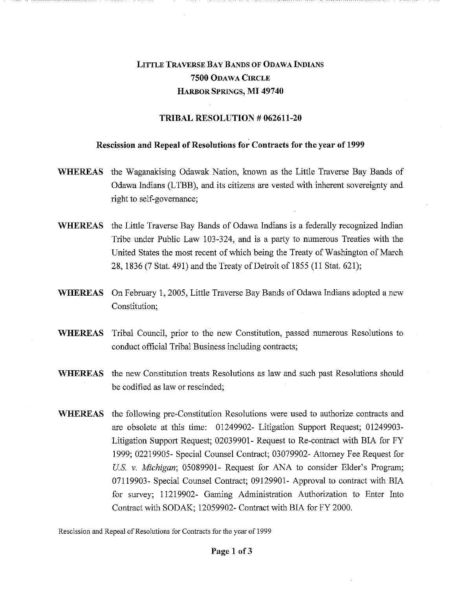## LITTLE TRAVERSE BAY BANDS OF ODAWA INDIANS 7500 ODAWA CIRCLE HARBOR SPRINGS, MI 49740

## TRIBAL RESOLUTION # 062611-20

## Rescission and Repeal of Resolutions for Contracts for the year of 1999

- WHEREAS the Waganakising Odawak Nation, known as the Little Traverse Bay Bands of Odawa Indians (LTBB), and its citizens are vested with inherent sovereignty and right to self-governance;
- WHEREAS the Little Traverse Bay Bands of Odawa Indians is a federally recognized Indian Tribe under Public Law 103-324, and is a party to numerous Treaties with the United States the most recent of which being the Treaty of Washington of March 28, 1836 (7 Stat. 491) and the Treaty of Detroit of 1855 (11 Stat. 621);
- WHEREAS On February 1, 2005, Little Traverse Bay Bands of Odawa Indians adopted a new Constitution;
- WHEREAS Tribal Council, prior to the new Constitution, passed numerous Resolutions to conduct official Tribal Business including contracts;
- WHEREAS the new Constitution treats Resolutions as law and such past Resolutions should be codified as law or rescinded;
- WHEREAS the following pre-Constitution Resolutions were used to authorize contracts and are obsolete at this time: 01249902- Litigation Support Request; 01249903- Litigation Support Request; 02039901- Request to Re-contract with BIA for FY 1999; 02219905- Special Counsel Contract; 03079902- Attorney Fee Request for *U.S.* v. *Michigan;* 05089901- Request for ANA to consider Elder's Program; 07119903- Special Counsel Contract; 09129901- Approval to contract with BIA for survey; 11219902- Gaming Administration Authorization to Enter Into Contract with SODAK; 12059902- Contract with BIA for FY 2000.

Rescission and Repeal of Resolutions for Contracts for the year of 1999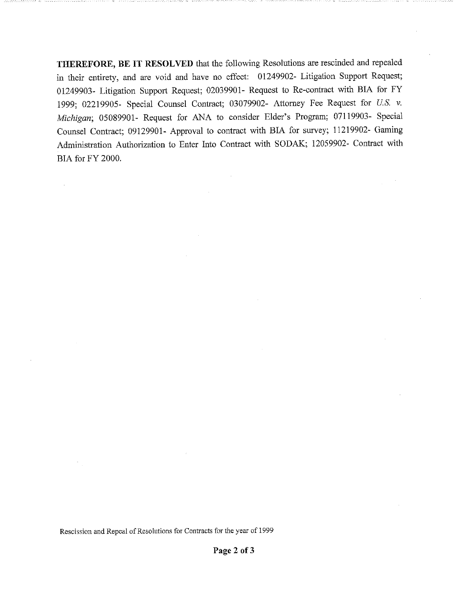THEREFORE, BE IT RESOLVED that the following Resolutions are rescinded and repealed in their entirety, and are void and have no effect: 01249902- Litigation Support Request; 01249903- Litigation Support Request; 02039901- Request to Re-contract with BIA for FY 1999; 02219905- Special Counsel Contract; 03079902- Attorney Fee Request for *U.S. v. Michigan;* 05089901- Request for ANA to consider Elder's Program; 07119903- Special Counsel Contract; 09129901- Approval to contract with BIA for survey; 11219902- Gaming Administration Authorization to Enter Into Contract with SODAK; 12059902- Contract with BIA for FY 2000.

Rescission and Repeal of Resolutions for Contracts for the year of 1999